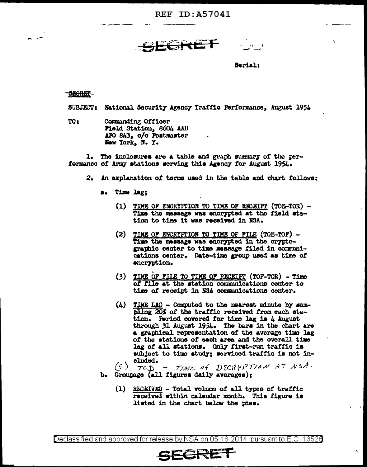**REF ID: A57041** 

SEGRET

Seriali

## - 1130 RET-

a lar

SUBJECT: National Security Agency Traffic Performance, August 1954

TO<sub>1</sub> Commanding Officer Field Station, 8604 AAU APO 843. c/o Postmaster New York, N. Y.

1. The inclosures are a table and graph summary of the performance of Army stations serving this Agency for August 1954.

- 2. An explanation of terms used in the table and chart follows:
	- a. Time lag;
		- (1) TIME OF ENCRYPTION TO TIME OF RECEIPT (TOE-TOR) -Time the message was encrypted at the field station to time it was received in NSA.
		- (2) TIME OF ENCRYPTION TO TIME OF FILE (TOE-TOF) -Time the massage was encrypted in the cryptographic center to time message filed in communications center. Date-time group used as time of encryption.
		- $(3)$  TIME OF FILE TO TIME OF RECEIPT  $(TOF-TOR)$  Time of file at the station communications center to time of receipt in NSA communications center.
		- $(4)$  TDME LAG Computed to the nearest minute by sampling 20% of the traffic received from each station. Period covered for time lag is 4 August through 31 August 1954. The bars in the chart are a graphical representation of the average time lag of the stations of each area and the overall time lag of all stations. Only first-run traffic is subject to time study: serviced traffic is not included.
	- TOD\_ TIME OF DECRYPTION AT NSA.  $(5)$ b. Groupage (all figures daily averages);
		- (1) RECEIVED Total volume of all types of traffic received within calendar month. This figure is listed in the chart below the pies.

 $L$ 

Declassified and approved for release by NSA on 05-16-2014 pursuant to E.O. 13526